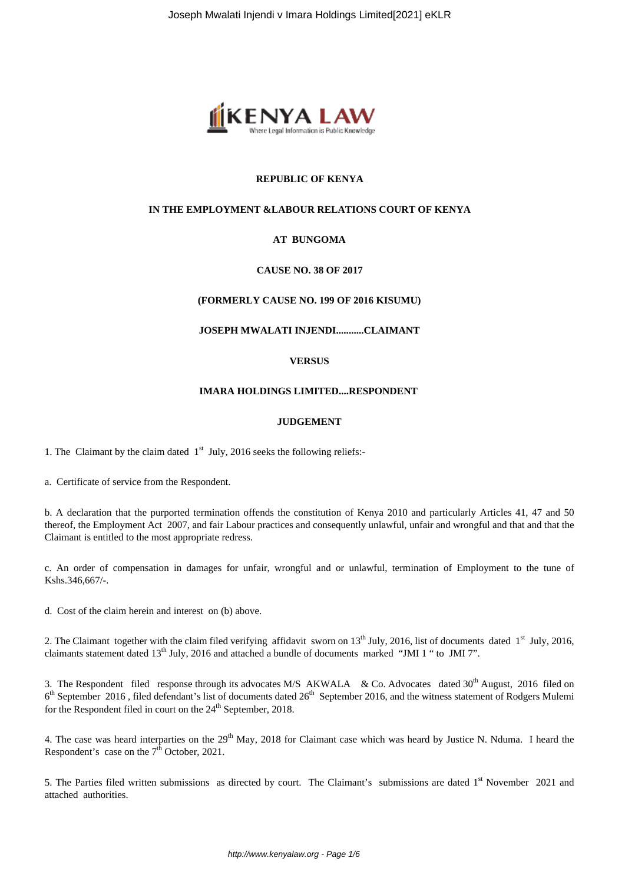

# **REPUBLIC OF KENYA**

# **IN THE EMPLOYMENT &LABOUR RELATIONS COURT OF KENYA**

# **AT BUNGOMA**

# **CAUSE NO. 38 OF 2017**

### **(FORMERLY CAUSE NO. 199 OF 2016 KISUMU)**

**JOSEPH MWALATI INJENDI...........CLAIMANT**

### **VERSUS**

#### **IMARA HOLDINGS LIMITED....RESPONDENT**

#### **JUDGEMENT**

1. The Claimant by the claim dated  $1<sup>st</sup>$  July, 2016 seeks the following reliefs:-

a. Certificate of service from the Respondent.

b. A declaration that the purported termination offends the constitution of Kenya 2010 and particularly Articles 41, 47 and 50 thereof, the Employment Act 2007, and fair Labour practices and consequently unlawful, unfair and wrongful and that and that the Claimant is entitled to the most appropriate redress.

c. An order of compensation in damages for unfair, wrongful and or unlawful, termination of Employment to the tune of Kshs.346,667/-.

d. Cost of the claim herein and interest on (b) above.

2. The Claimant together with the claim filed verifying affidavit sworn on  $13<sup>th</sup>$  July, 2016, list of documents dated  $1<sup>st</sup>$  July, 2016, claimants statement dated 13<sup>th</sup> July, 2016 and attached a bundle of documents marked "JMI 1" to JMI 7".

3. The Respondent filed response through its advocates M/S AKWALA & Co. Advocates dated 30<sup>th</sup> August, 2016 filed on 6<sup>th</sup> September 2016, filed defendant's list of documents dated 26<sup>th</sup> September 2016, and the witness statement of Rodgers Mulemi for the Respondent filed in court on the  $24<sup>th</sup>$  September, 2018.

4. The case was heard interparties on the 29<sup>th</sup> May, 2018 for Claimant case which was heard by Justice N. Nduma. I heard the Respondent's case on the  $7<sup>th</sup>$  October, 2021.

5. The Parties filed written submissions as directed by court. The Claimant's submissions are dated 1<sup>st</sup> November 2021 and attached authorities.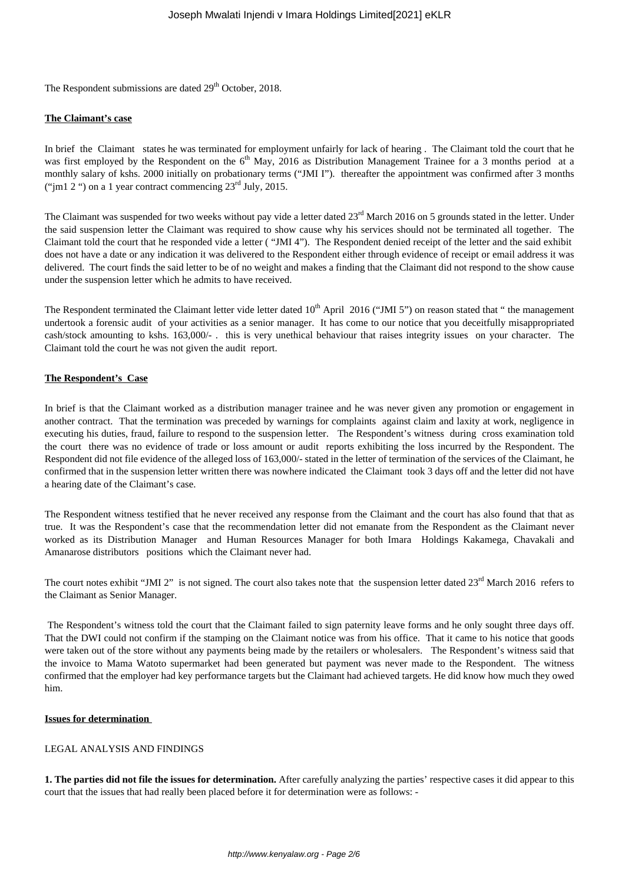The Respondent submissions are dated  $29<sup>th</sup>$  October, 2018.

### **The Claimant's case**

In brief the Claimant states he was terminated for employment unfairly for lack of hearing . The Claimant told the court that he was first employed by the Respondent on the 6<sup>th</sup> May, 2016 as Distribution Management Trainee for a 3 months period at a monthly salary of kshs. 2000 initially on probationary terms ("JMI I"). thereafter the appointment was confirmed after 3 months ("jm1 2 ") on a 1 year contract commencing  $23<sup>rd</sup>$  July, 2015.

The Claimant was suspended for two weeks without pay vide a letter dated 23<sup>rd</sup> March 2016 on 5 grounds stated in the letter. Under the said suspension letter the Claimant was required to show cause why his services should not be terminated all together. The Claimant told the court that he responded vide a letter ( "JMI 4"). The Respondent denied receipt of the letter and the said exhibit does not have a date or any indication it was delivered to the Respondent either through evidence of receipt or email address it was delivered. The court finds the said letter to be of no weight and makes a finding that the Claimant did not respond to the show cause under the suspension letter which he admits to have received.

The Respondent terminated the Claimant letter vide letter dated  $10<sup>th</sup>$  April 2016 ("JMI 5") on reason stated that " the management undertook a forensic audit of your activities as a senior manager. It has come to our notice that you deceitfully misappropriated cash/stock amounting to kshs. 163,000/- . this is very unethical behaviour that raises integrity issues on your character. The Claimant told the court he was not given the audit report.

### **The Respondent's Case**

In brief is that the Claimant worked as a distribution manager trainee and he was never given any promotion or engagement in another contract. That the termination was preceded by warnings for complaints against claim and laxity at work, negligence in executing his duties, fraud, failure to respond to the suspension letter. The Respondent's witness during cross examination told the court there was no evidence of trade or loss amount or audit reports exhibiting the loss incurred by the Respondent. The Respondent did not file evidence of the alleged loss of 163,000/- stated in the letter of termination of the services of the Claimant, he confirmed that in the suspension letter written there was nowhere indicated the Claimant took 3 days off and the letter did not have a hearing date of the Claimant's case.

The Respondent witness testified that he never received any response from the Claimant and the court has also found that that as true. It was the Respondent's case that the recommendation letter did not emanate from the Respondent as the Claimant never worked as its Distribution Manager and Human Resources Manager for both Imara Holdings Kakamega, Chavakali and Amanarose distributors positions which the Claimant never had.

The court notes exhibit "JMI 2" is not signed. The court also takes note that the suspension letter dated 23<sup>rd</sup> March 2016 refers to the Claimant as Senior Manager.

The Respondent's witness told the court that the Claimant failed to sign paternity leave forms and he only sought three days off. That the DWI could not confirm if the stamping on the Claimant notice was from his office. That it came to his notice that goods were taken out of the store without any payments being made by the retailers or wholesalers. The Respondent's witness said that the invoice to Mama Watoto supermarket had been generated but payment was never made to the Respondent. The witness confirmed that the employer had key performance targets but the Claimant had achieved targets. He did know how much they owed him.

#### **Issues for determination**

# LEGAL ANALYSIS AND FINDINGS

**1. The parties did not file the issues for determination.** After carefully analyzing the parties' respective cases it did appear to this court that the issues that had really been placed before it for determination were as follows: -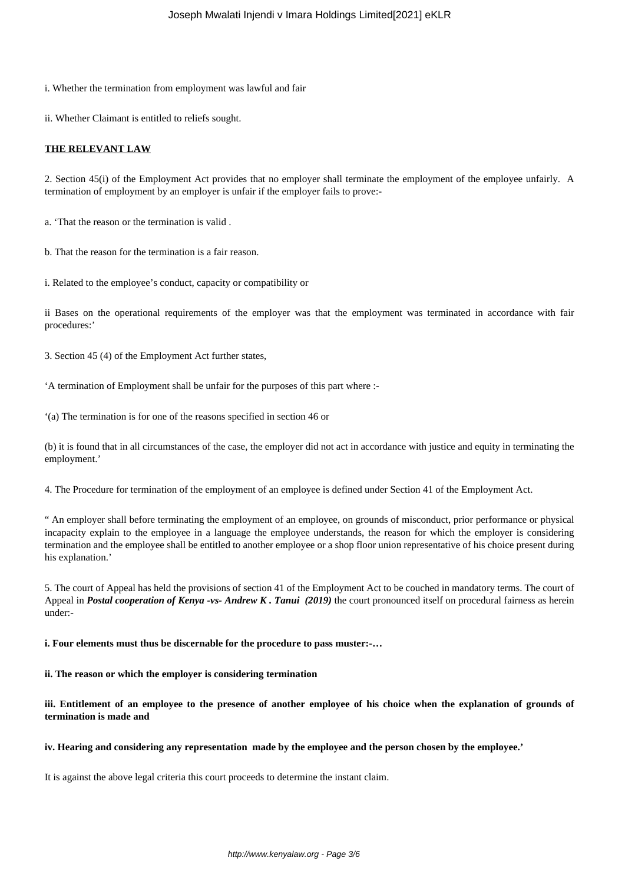i. Whether the termination from employment was lawful and fair

ii. Whether Claimant is entitled to reliefs sought.

#### **THE RELEVANT LAW**

2. Section 45(i) of the Employment Act provides that no employer shall terminate the employment of the employee unfairly. A termination of employment by an employer is unfair if the employer fails to prove:-

a. 'That the reason or the termination is valid .

b. That the reason for the termination is a fair reason.

i. Related to the employee's conduct, capacity or compatibility or

ii Bases on the operational requirements of the employer was that the employment was terminated in accordance with fair procedures:'

3. Section 45 (4) of the Employment Act further states,

'A termination of Employment shall be unfair for the purposes of this part where :-

'(a) The termination is for one of the reasons specified in section 46 or

(b) it is found that in all circumstances of the case, the employer did not act in accordance with justice and equity in terminating the employment.'

4. The Procedure for termination of the employment of an employee is defined under Section 41 of the Employment Act.

" An employer shall before terminating the employment of an employee, on grounds of misconduct, prior performance or physical incapacity explain to the employee in a language the employee understands, the reason for which the employer is considering termination and the employee shall be entitled to another employee or a shop floor union representative of his choice present during his explanation.'

5. The court of Appeal has held the provisions of section 41 of the Employment Act to be couched in mandatory terms. The court of Appeal in *Postal cooperation of Kenya -vs- Andrew K. Tanui (2019)* the court pronounced itself on procedural fairness as herein under:-

**i. Four elements must thus be discernable for the procedure to pass muster:-…**

**ii. The reason or which the employer is considering termination** 

**iii. Entitlement of an employee to the presence of another employee of his choice when the explanation of grounds of termination is made and** 

#### **iv. Hearing and considering any representation made by the employee and the person chosen by the employee.'**

It is against the above legal criteria this court proceeds to determine the instant claim.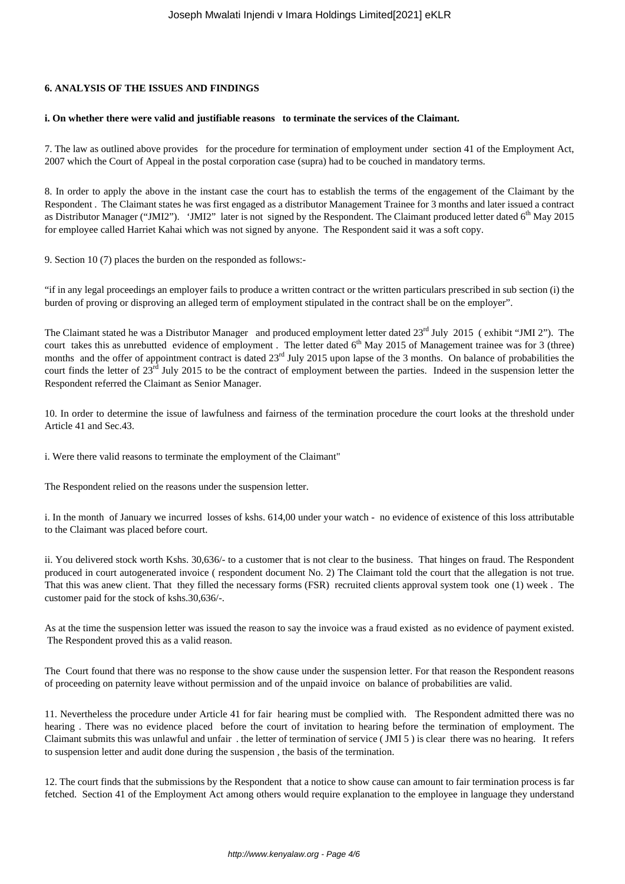# **6. ANALYSIS OF THE ISSUES AND FINDINGS**

### **i. On whether there were valid and justifiable reasons to terminate the services of the Claimant.**

7. The law as outlined above provides for the procedure for termination of employment under section 41 of the Employment Act, 2007 which the Court of Appeal in the postal corporation case (supra) had to be couched in mandatory terms.

8. In order to apply the above in the instant case the court has to establish the terms of the engagement of the Claimant by the Respondent . The Claimant states he was first engaged as a distributor Management Trainee for 3 months and later issued a contract as Distributor Manager ("JMI2"). 'JMI2" later is not signed by the Respondent. The Claimant produced letter dated  $6<sup>th</sup>$  May 2015 for employee called Harriet Kahai which was not signed by anyone. The Respondent said it was a soft copy.

9. Section 10 (7) places the burden on the responded as follows:-

"if in any legal proceedings an employer fails to produce a written contract or the written particulars prescribed in sub section (i) the burden of proving or disproving an alleged term of employment stipulated in the contract shall be on the employer".

The Claimant stated he was a Distributor Manager and produced employment letter dated  $23<sup>rd</sup>$  July 2015 (exhibit "JMI 2"). The court takes this as unrebutted evidence of employment. The letter dated  $6<sup>th</sup>$  May 2015 of Management trainee was for 3 (three) months and the offer of appointment contract is dated 23<sup>rd</sup> July 2015 upon lapse of the 3 months. On balance of probabilities the court finds the letter of 23<sup>rd</sup> July 2015 to be the contract of employment between the parties. Indeed in the suspension letter the Respondent referred the Claimant as Senior Manager.

10. In order to determine the issue of lawfulness and fairness of the termination procedure the court looks at the threshold under Article 41 and Sec.43.

i. Were there valid reasons to terminate the employment of the Claimant"

The Respondent relied on the reasons under the suspension letter.

i. In the month of January we incurred losses of kshs. 614,00 under your watch - no evidence of existence of this loss attributable to the Claimant was placed before court.

ii. You delivered stock worth Kshs. 30,636/- to a customer that is not clear to the business. That hinges on fraud. The Respondent produced in court autogenerated invoice ( respondent document No. 2) The Claimant told the court that the allegation is not true. That this was anew client. That they filled the necessary forms (FSR) recruited clients approval system took one (1) week . The customer paid for the stock of kshs.30,636/-.

As at the time the suspension letter was issued the reason to say the invoice was a fraud existed as no evidence of payment existed. The Respondent proved this as a valid reason.

The Court found that there was no response to the show cause under the suspension letter. For that reason the Respondent reasons of proceeding on paternity leave without permission and of the unpaid invoice on balance of probabilities are valid.

11. Nevertheless the procedure under Article 41 for fair hearing must be complied with. The Respondent admitted there was no hearing . There was no evidence placed before the court of invitation to hearing before the termination of employment. The Claimant submits this was unlawful and unfair . the letter of termination of service ( JMI 5 ) is clear there was no hearing. It refers to suspension letter and audit done during the suspension , the basis of the termination.

12. The court finds that the submissions by the Respondent that a notice to show cause can amount to fair termination process is far fetched. Section 41 of the Employment Act among others would require explanation to the employee in language they understand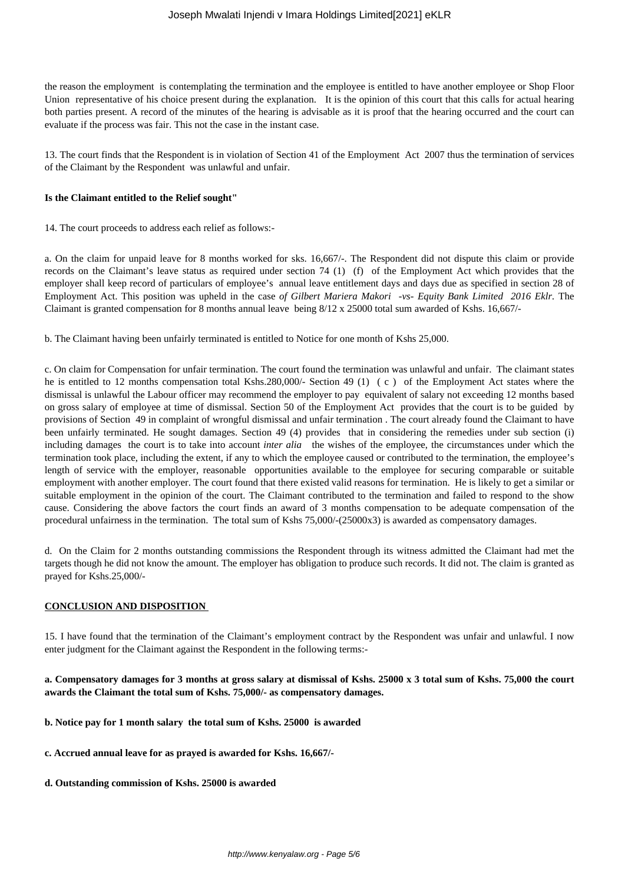the reason the employment is contemplating the termination and the employee is entitled to have another employee or Shop Floor Union representative of his choice present during the explanation. It is the opinion of this court that this calls for actual hearing both parties present. A record of the minutes of the hearing is advisable as it is proof that the hearing occurred and the court can evaluate if the process was fair. This not the case in the instant case.

13. The court finds that the Respondent is in violation of Section 41 of the Employment Act 2007 thus the termination of services of the Claimant by the Respondent was unlawful and unfair.

### **Is the Claimant entitled to the Relief sought"**

14. The court proceeds to address each relief as follows:-

a. On the claim for unpaid leave for 8 months worked for sks. 16,667/-. The Respondent did not dispute this claim or provide records on the Claimant's leave status as required under section 74 (1) (f) of the Employment Act which provides that the employer shall keep record of particulars of employee's annual leave entitlement days and days due as specified in section 28 of Employment Act. This position was upheld in the case *of Gilbert Mariera Makori -vs- Equity Bank Limited 2016 Eklr.* The Claimant is granted compensation for 8 months annual leave being 8/12 x 25000 total sum awarded of Kshs. 16,667/-

b. The Claimant having been unfairly terminated is entitled to Notice for one month of Kshs 25,000.

c. On claim for Compensation for unfair termination. The court found the termination was unlawful and unfair. The claimant states he is entitled to 12 months compensation total Kshs.280,000/- Section 49 (1) (c) of the Employment Act states where the dismissal is unlawful the Labour officer may recommend the employer to pay equivalent of salary not exceeding 12 months based on gross salary of employee at time of dismissal. Section 50 of the Employment Act provides that the court is to be guided by provisions of Section 49 in complaint of wrongful dismissal and unfair termination . The court already found the Claimant to have been unfairly terminated. He sought damages. Section 49 (4) provides that in considering the remedies under sub section (i) including damages the court is to take into account *inter alia* the wishes of the employee, the circumstances under which the termination took place, including the extent, if any to which the employee caused or contributed to the termination, the employee's length of service with the employer, reasonable opportunities available to the employee for securing comparable or suitable employment with another employer. The court found that there existed valid reasons for termination. He is likely to get a similar or suitable employment in the opinion of the court. The Claimant contributed to the termination and failed to respond to the show cause. Considering the above factors the court finds an award of 3 months compensation to be adequate compensation of the procedural unfairness in the termination. The total sum of Kshs 75,000/-(25000x3) is awarded as compensatory damages.

d. On the Claim for 2 months outstanding commissions the Respondent through its witness admitted the Claimant had met the targets though he did not know the amount. The employer has obligation to produce such records. It did not. The claim is granted as prayed for Kshs.25,000/-

# **CONCLUSION AND DISPOSITION**

15. I have found that the termination of the Claimant's employment contract by the Respondent was unfair and unlawful. I now enter judgment for the Claimant against the Respondent in the following terms:-

**a. Compensatory damages for 3 months at gross salary at dismissal of Kshs. 25000 x 3 total sum of Kshs. 75,000 the court awards the Claimant the total sum of Kshs. 75,000/- as compensatory damages.**

- **b. Notice pay for 1 month salary the total sum of Kshs. 25000 is awarded**
- **c. Accrued annual leave for as prayed is awarded for Kshs. 16,667/-**
- **d. Outstanding commission of Kshs. 25000 is awarded**